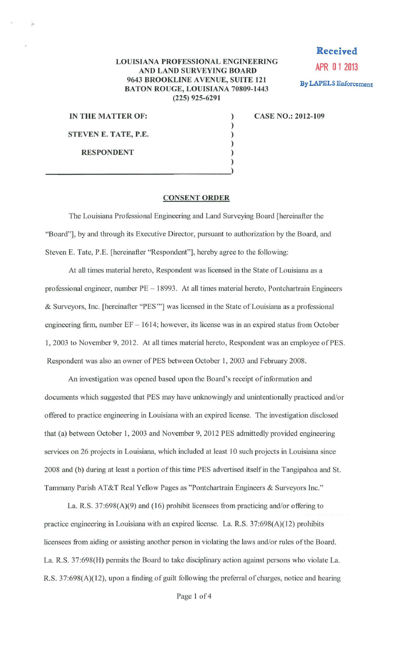## LOUISIANA PROFESSIONAL ENGINEERING AND LAND SURVEYING BOARD 9643 BROOKLINE AVENUE, SUITE 121 BATON ROUGE, LOUISIANA 70809-1443 (225) 925-6291

) ) ) ) )

**Received APR 0 1 2013**  By LAPELS Enforcement

IN THE MATTER OF: STEVEN E. TATE, P.E. RESPONDENT

)  $\frac{1}{2}$ 

CASE NO.: 2012-109

## CONSENT ORDER

The Louisiana Professional Engineering and Land Surveying Board [hereinafter the "Board"], by and through its Executive Director, pursuant to authorization by the Board, and Steven E. Tate, P.E. [hereinafter "Respondent"], hereby agree to the following:

At all times material hereto, Respondent was licensed in the State of Louisiana as a professional engineer, number PE - 18993. At all times material hereto, Pontchartrain Engineers & Surveyors, Inc. [hereinafter "PES'"] was licensed in the State ofLouisiana as a professional engineering firm, number  $EF - 1614$ ; however, its license was in an expired status from October 1, 2003 to November 9, 2012. At all times material hereto, Respondent was an employee of PES. Respondent was also an owner of PES between October 1, 2003 and February 2008.

An investigation was opened based upon the Board's receipt of information and documents which suggested that PES may have unknowingly and unintentionally practiced and/or offered to practice engineering in Louisiana with an expired license. The investigation disclosed that (a) between October I, 2003 and November 9, 2012 PES admittedly provided engineering services on 26 projects in Louisiana, which included at least 10 such projects in Louisiana since 2008 and (b) during at least a portion of this time PES advertised itself in the Tangipahoa and St. Tammany Parish AT&T Real Yellow Pages as "Pontchartrain Engineers & Surveyors Inc."

La. R.S.  $37:698(A)(9)$  and (16) prohibit licensees from practicing and/or offering to practice engineering in Louisiana with an expired license. La. R.S. 37:698(A)(12) prohibits licensees from aiding or assisting another person in violating the laws and/or rules of the Board. La. R.S. 37:698(H) permits the Board to take disciplinary action against persons who violate La. R.S. 37:698(A)(l2), upon a finding of guilt following the preferral of charges, notice and hearing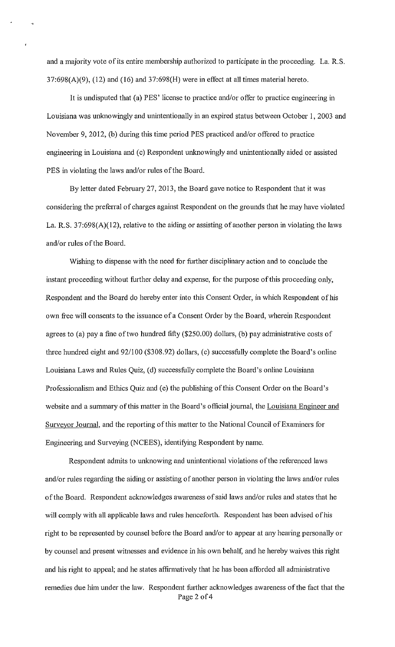and a majority vote of its entire membership authorized to participate in the proceeding. La. R.S.  $37:698(A)(9)$ ,  $(12)$  and  $(16)$  and  $37:698(H)$  were in effect at all times material hereto.

It is undisputed that (a) PES' license to practice and/or offer to practice engineering in Louisiana was unknowingly and unintentionally in an expired status between October I, 2003 and November 9, 2012, (b) during this time period PES practiced and/or offered to practice engineering in Louisiana and (c) Respondent unknowingly and unintentionally aided or assisted PES in violating the laws and/or rules of the Board.

By letter dated February 27, 2013, the Board gave notice to Respondent that it was considering the preferral of charges against Respondent on the grounds that he may have violated La. R.S. 37:698(A)(12), relative to the aiding or assisting of another person in violating the laws and/or rules of the Board.

Wishing to dispense with the need for further disciplinary action and to conclude the instant proceeding without further delay and expense, for the purpose of this proceeding only, Respondent and the Board do hereby enter into this Consent Order, in which Respondent of his own free will consents to the issuance of a Consent Order by the Board, wherein Respondent agrees to (a) pay a fine of two hundred fifty (\$250.00) dollars, (b) pay administrative costs of three hundred eight and 92/100 (\$308.92) dollars, (c) successfully complete the Board's online Louisiana Laws and Rules Quiz, (d) successfully complete the Board's online Louisiana Professionalism and Ethics Quiz and (e) the publishing of this Consent Order on the Board's website and a summary of this matter in the Board's official journal, the Louisiana Engineer and Surveyor Journal, and the reporting of this matter to the National Council of Examiners for Engineering and Surveying (NCEES), identifying Respondent by name.

Respondent admits to unknowing and unintentional violations of the referenced laws and/or rules regarding the aiding or assisting of another person in violating the laws and/or rules of the Board. Respondent acknowledges awareness of said laws and/or rules and states that he will comply with all applicable laws and rules henceforth. Respondent has been advised of his right to be represented by counsel before the Board and/or to appear at any hearing personally or by counsel and present witnesses and evidence in his own behalf, and he hereby waives this right and his right to appeal; and he states affirmatively that he has been afforded all administrative remedies due him under the law. Respondent further acknowledges awareness of the fact that the Page 2 of 4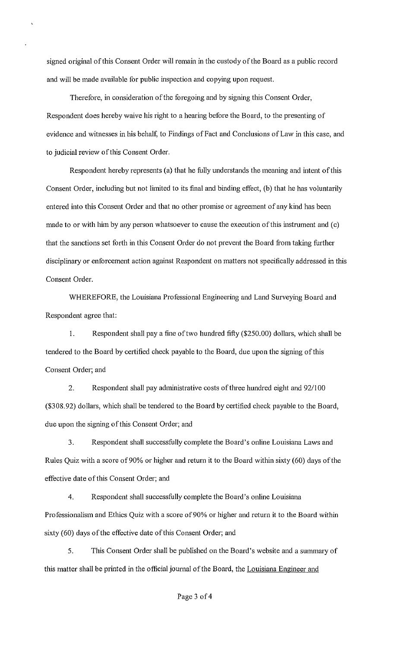signed original of this Consent Order will remain in the custody of the Board as a public record and will be made available for public inspection and copying upon request.

Therefore, in consideration of the foregoing and by signing this Consent Order, Respondent does hereby waive his right to a hearing before the Board, to the presenting of evidence and witnesses in his behalf, to Findings of Fact and Conclusions of Law in this case, and to judicial review of this Consent Order.

Respondent hereby represents (a) that he fully understands the meaning and intent of this Consent Order, including but not limited to its final and binding effect, (b) that he has voluntarily entered into this Consent Order and that no other promise or agreement of any kind has been made to or with him by any person whatsoever to cause the execution of this instrument and (c) that the sanctions set forth in this Consent Order do not prevent the Board from taking further disciplinary or enforcement action against Respondent on matters not specifically addressed in this Consent Order.

WHEREFORE, the Louisiana Professional Engineering and Land Surveying Board and Respondent agree that:

I. Respondent shall pay a fine of two hundred fifty (\$250.00) dollars, which shall be tendered to the Board by certified check payable to the Board, due upon the signing of this Consent Order; and

2. Respondent shall pay administrative costs of three hundred eight and 92/100 (\$308.92) dollars, which shall be tendered to the Board by certified check payable to the Board, due upon the signing of this Consent Order; and

3. Respondent shall successfully complete the Board's online Louisiana Laws and Rules Quiz with a score of 90% or higher and return it to the Board within sixty ( 60) days of the effective date of this Consent Order; and

4. Respondent shall successfully complete the Board's online Louisiana Professionalism and Ethics Quiz with a score of 90% or higher and return it to the Board within sixty (60) days of the effective date of this Consent Order; and

5. This Consent Order shall be published on the Board's website and a summary of this matter shall be printed in the official journal of the Board, the Louisiana Engineer and